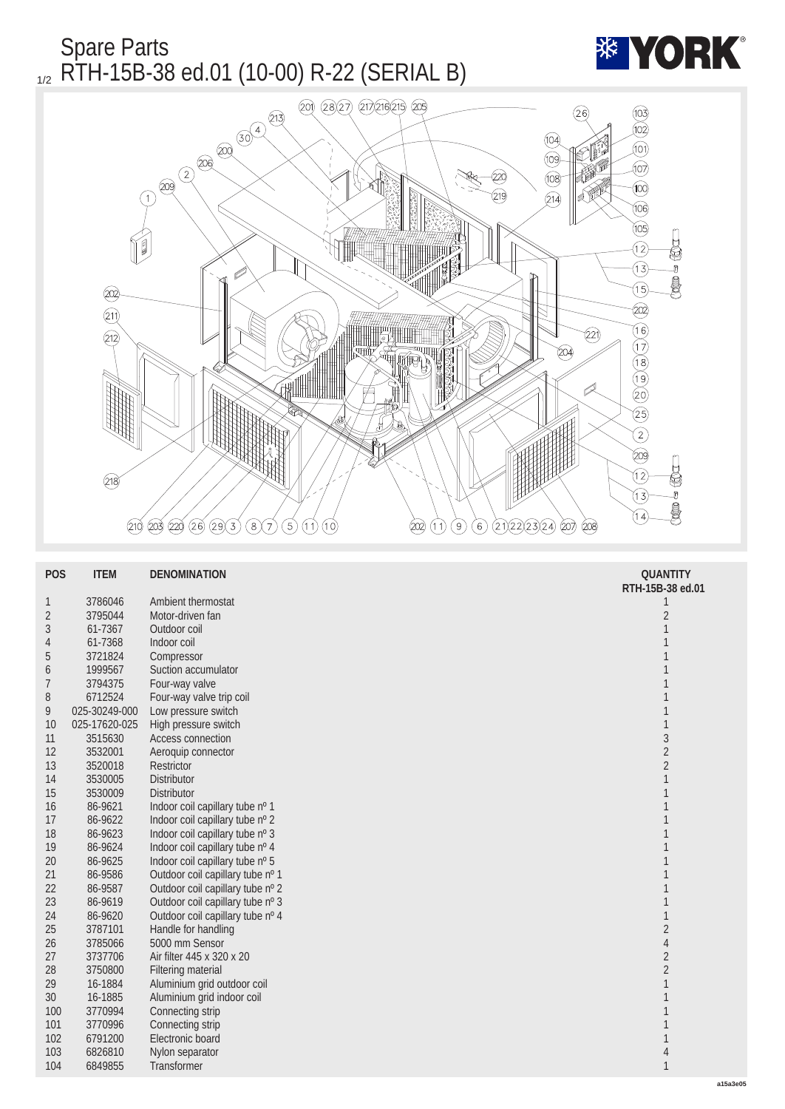

| <b>POS</b>     | <b>ITEM</b>   | <b>DENOMINATION</b>              | <b>QUANTITY</b>  |
|----------------|---------------|----------------------------------|------------------|
|                |               |                                  | RTH-15B-38 ed.01 |
| $\mathbf{1}$   | 3786046       | <b>Ambient thermostat</b>        | 1                |
| $\sqrt{2}$     | 3795044       | Motor-driven fan                 | $\boldsymbol{2}$ |
| 3              | 61-7367       | Outdoor coil                     | 1                |
| 4              | 61-7368       | Indoor coil                      | 1                |
| $\overline{5}$ | 3721824       | Compressor                       | 1                |
| 6              | 1999567       | Suction accumulator              | 1                |
| $\overline{7}$ | 3794375       | Four-way valve                   | 1                |
| 8              | 6712524       | Four-way valve trip coil         | 1                |
| 9              | 025-30249-000 | Low pressure switch              | 1                |
| 10             | 025-17620-025 | High pressure switch             | $\mathbf{1}$     |
| 11             | 3515630       | Access connection                | $\overline{3}$   |
| 12             | 3532001       | Aeroquip connector               | $\overline{c}$   |
| 13             | 3520018       | Restrictor                       | $\boldsymbol{2}$ |
| 14             | 3530005       | <b>Distributor</b>               | $\mathbf{1}$     |
| 15             | 3530009       | <b>Distributor</b>               | 1                |
| 16             | 86-9621       | Indoor coil capillary tube nº 1  | $\mathbf{1}$     |
| 17             | 86-9622       | Indoor coil capillary tube nº 2  | $\mathbf{1}$     |
| 18             | 86-9623       | Indoor coil capillary tube nº 3  | 1                |
| 19             | 86-9624       | Indoor coil capillary tube nº 4  | 1                |
| 20             | 86-9625       | Indoor coil capillary tube nº 5  | 1                |
| 21             | 86-9586       | Outdoor coil capillary tube nº 1 | 1                |
| 22             | 86-9587       | Outdoor coil capillary tube nº 2 | 1                |
| 23             | 86-9619       | Outdoor coil capillary tube nº 3 | 1                |
| 24             | 86-9620       | Outdoor coil capillary tube nº 4 | 1                |
| 25             | 3787101       | Handle for handling              | $\boldsymbol{2}$ |
| 26             | 3785066       | 5000 mm Sensor                   | $\overline{4}$   |
| 27             | 3737706       | Air filter 445 x 320 x 20        | $\boldsymbol{2}$ |
| 28             | 3750800       | <b>Filtering material</b>        | $\overline{c}$   |
| 29             | 16-1884       | Aluminium grid outdoor coil      | 1                |
| 30             | 16-1885       | Aluminium grid indoor coil       | 1                |
| 100            | 3770994       | Connecting strip                 | 1                |
| 101            | 3770996       | Connecting strip                 | 1                |
| 102            | 6791200       | Electronic board                 |                  |
| 103            | 6826810       | Nylon separator                  | 4                |
| 104            | 6849855       | <b>Transformer</b>               | $\mathbf{1}$     |
|                |               |                                  |                  |